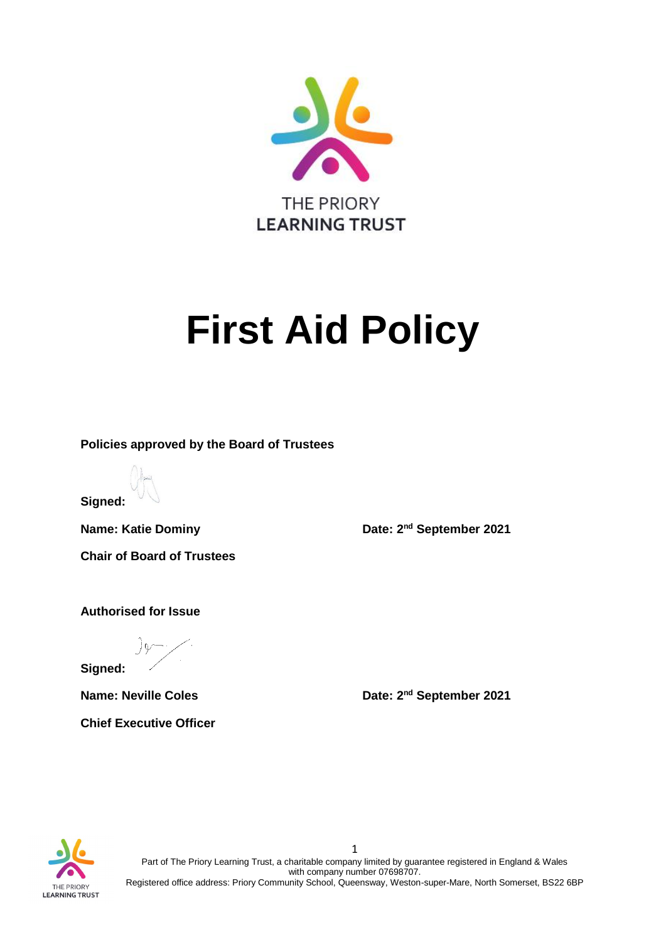

# **First Aid Policy**

**Policies approved by the Board of Trustees**

**Signed:**

**Chair of Board of Trustees** 

**Name: Katie Dominy Community Community Date: 2<sup>nd</sup> September 2021** 

**Authorised for Issue**

**Signed:** 

**Chief Executive Officer**

**Name: Neville Coles Date: 2<sup>nd</sup> September 2021** 



1 Part of The Priory Learning Trust, a charitable company limited by guarantee registered in England & Wales with company number 07698707. Registered office address: Priory Community School, Queensway, Weston-super-Mare, North Somerset, BS22 6BP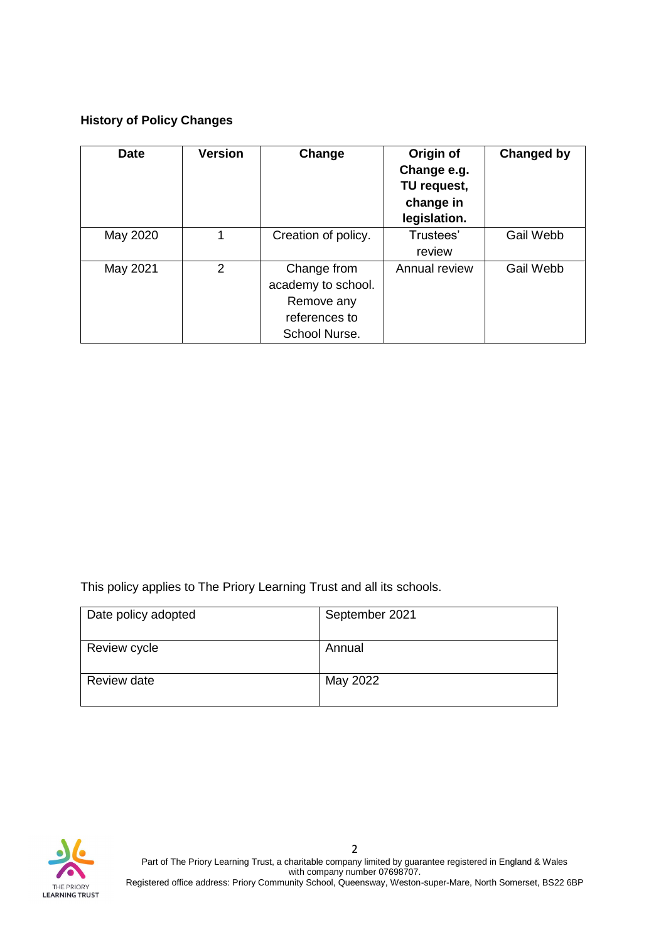## **History of Policy Changes**

| <b>Date</b> | <b>Version</b> | Change                                                                            | Origin of<br>Change e.g.<br>TU request,<br>change in<br>legislation. | Changed by |
|-------------|----------------|-----------------------------------------------------------------------------------|----------------------------------------------------------------------|------------|
| May 2020    | 1              | Creation of policy.                                                               | Trustees'<br>review                                                  | Gail Webb  |
| May 2021    | $\overline{2}$ | Change from<br>academy to school.<br>Remove any<br>references to<br>School Nurse. | Annual review                                                        | Gail Webb  |

This policy applies to The Priory Learning Trust and all its schools.

| Date policy adopted | September 2021 |
|---------------------|----------------|
| Review cycle        | Annual         |
| Review date         | May 2022       |

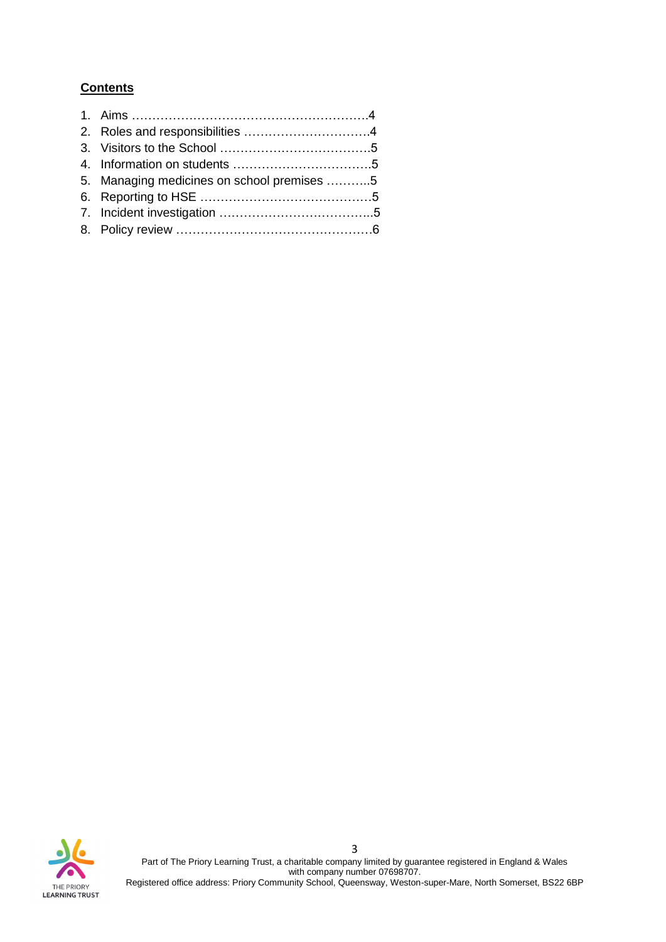## **Contents**

| 5. Managing medicines on school premises 5 |
|--------------------------------------------|
|                                            |
|                                            |
|                                            |
|                                            |



3 Part of The Priory Learning Trust, a charitable company limited by guarantee registered in England & Wales with company number 07698707.

Registered office address: Priory Community School, Queensway, Weston-super-Mare, North Somerset, BS22 6BP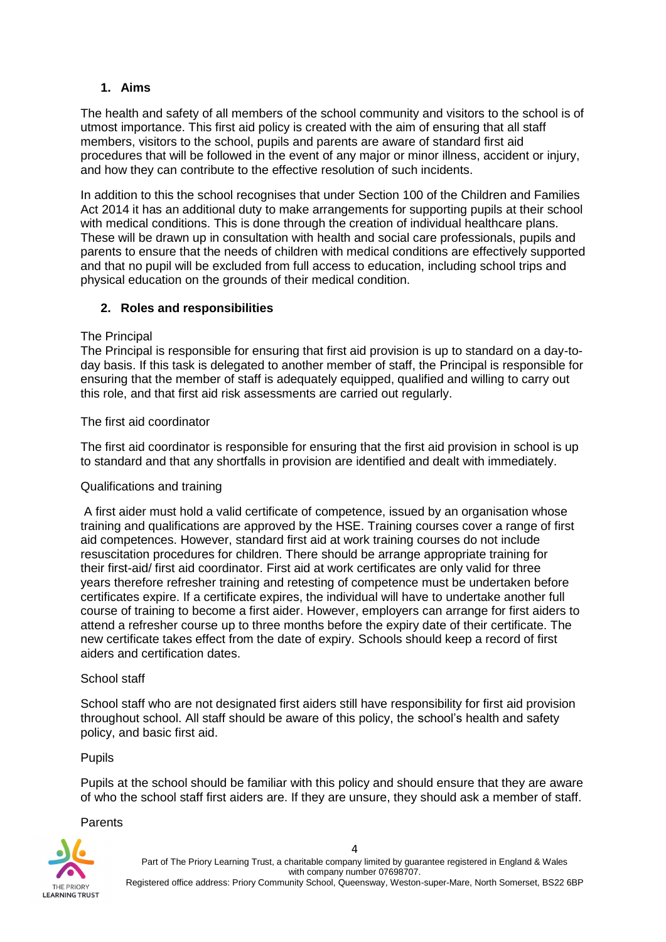#### **1. Aims**

The health and safety of all members of the school community and visitors to the school is of utmost importance. This first aid policy is created with the aim of ensuring that all staff members, visitors to the school, pupils and parents are aware of standard first aid procedures that will be followed in the event of any major or minor illness, accident or injury, and how they can contribute to the effective resolution of such incidents.

In addition to this the school recognises that under Section 100 of the Children and Families Act 2014 it has an additional duty to make arrangements for supporting pupils at their school with medical conditions. This is done through the creation of individual healthcare plans. These will be drawn up in consultation with health and social care professionals, pupils and parents to ensure that the needs of children with medical conditions are effectively supported and that no pupil will be excluded from full access to education, including school trips and physical education on the grounds of their medical condition.

#### **2. Roles and responsibilities**

#### The Principal

The Principal is responsible for ensuring that first aid provision is up to standard on a day-today basis. If this task is delegated to another member of staff, the Principal is responsible for ensuring that the member of staff is adequately equipped, qualified and willing to carry out this role, and that first aid risk assessments are carried out regularly.

The first aid coordinator

The first aid coordinator is responsible for ensuring that the first aid provision in school is up to standard and that any shortfalls in provision are identified and dealt with immediately.

#### Qualifications and training

A first aider must hold a valid certificate of competence, issued by an organisation whose training and qualifications are approved by the HSE. Training courses cover a range of first aid competences. However, standard first aid at work training courses do not include resuscitation procedures for children. There should be arrange appropriate training for their first-aid/ first aid coordinator. First aid at work certificates are only valid for three years therefore refresher training and retesting of competence must be undertaken before certificates expire. If a certificate expires, the individual will have to undertake another full course of training to become a first aider. However, employers can arrange for first aiders to attend a refresher course up to three months before the expiry date of their certificate. The new certificate takes effect from the date of expiry. Schools should keep a record of first aiders and certification dates.

#### School staff

School staff who are not designated first aiders still have responsibility for first aid provision throughout school. All staff should be aware of this policy, the school's health and safety policy, and basic first aid.

#### Pupils

Pupils at the school should be familiar with this policy and should ensure that they are aware of who the school staff first aiders are. If they are unsure, they should ask a member of staff.

#### **Parents**

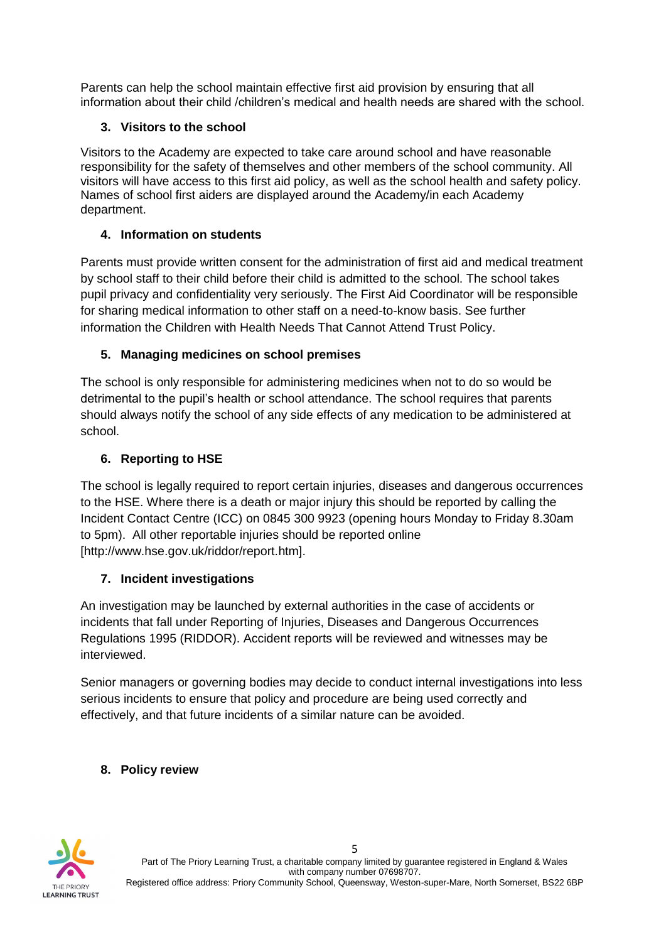Parents can help the school maintain effective first aid provision by ensuring that all information about their child /children's medical and health needs are shared with the school.

## **3. Visitors to the school**

Visitors to the Academy are expected to take care around school and have reasonable responsibility for the safety of themselves and other members of the school community. All visitors will have access to this first aid policy, as well as the school health and safety policy. Names of school first aiders are displayed around the Academy/in each Academy department.

# **4. Information on students**

Parents must provide written consent for the administration of first aid and medical treatment by school staff to their child before their child is admitted to the school. The school takes pupil privacy and confidentiality very seriously. The First Aid Coordinator will be responsible for sharing medical information to other staff on a need-to-know basis. See further information the Children with Health Needs That Cannot Attend Trust Policy.

# **5. Managing medicines on school premises**

The school is only responsible for administering medicines when not to do so would be detrimental to the pupil's health or school attendance. The school requires that parents should always notify the school of any side effects of any medication to be administered at school.

# **6. Reporting to HSE**

The school is legally required to report certain injuries, diseases and dangerous occurrences to the HSE. Where there is a death or major injury this should be reported by calling the Incident Contact Centre (ICC) on 0845 300 9923 (opening hours Monday to Friday 8.30am to 5pm). All other reportable injuries should be reported online [http://www.hse.gov.uk/riddor/report.htm].

# **7. Incident investigations**

An investigation may be launched by external authorities in the case of accidents or incidents that fall under Reporting of Injuries, Diseases and Dangerous Occurrences Regulations 1995 (RIDDOR). Accident reports will be reviewed and witnesses may be interviewed.

Senior managers or governing bodies may decide to conduct internal investigations into less serious incidents to ensure that policy and procedure are being used correctly and effectively, and that future incidents of a similar nature can be avoided.

# **8. Policy review**



5 Part of The Priory Learning Trust, a charitable company limited by guarantee registered in England & Wales with company number 07698707. Registered office address: Priory Community School, Queensway, Weston-super-Mare, North Somerset, BS22 6BP